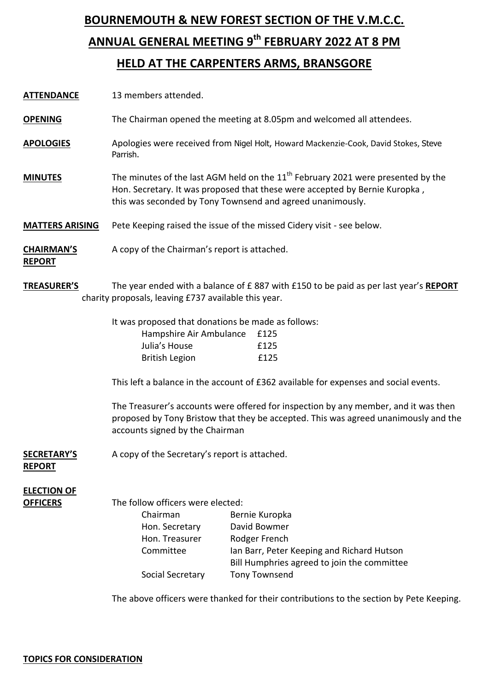## **BOURNEMOUTH & NEW FOREST SECTION OF THE V.M.C.C. ANNUAL GENERAL MEETING 9 th FEBRUARY 2022 AT 8 PM HELD AT THE CARPENTERS ARMS, BRANSGORE**

**OPENING** The Chairman opened the meeting at 8.05pm and welcomed all attendees.

- **APOLOGIES** Apologies were received from Nigel Holt, Howard Mackenzie-Cook, David Stokes, Steve Parrish.
- **MINUTES** The minutes of the last AGM held on the 11<sup>th</sup> February 2021 were presented by the Hon. Secretary. It was proposed that these were accepted by Bernie Kuropka , this was seconded by Tony Townsend and agreed unanimously.

**MATTERS ARISING** Pete Keeping raised the issue of the missed Cidery visit - see below.

**CHAIRMAN'S** A copy of the Chairman's report is attached.

**REPORT**

**TREASURER'S** The year ended with a balance of £ 887 with £150 to be paid as per last year's **REPORT** charity proposals, leaving £737 available this year.

It was proposed that donations be made as follows:

| Hampshire Air Ambulance | £125 |
|-------------------------|------|
| Julia's House           | f125 |
| <b>British Legion</b>   | f125 |

This left a balance in the account of £362 available for expenses and social events.

The Treasurer's accounts were offered for inspection by any member, and it was then proposed by Tony Bristow that they be accepted. This was agreed unanimously and the accounts signed by the Chairman

#### **SECRETARY'S** A copy of the Secretary's report is attached.

#### **REPORT**

## **ELECTION OF**

**OFFICERS** The follow officers were elected:

| Chairman         | Bernie Kuropka                              |
|------------------|---------------------------------------------|
| Hon. Secretary   | David Bowmer                                |
| Hon. Treasurer   | Rodger French                               |
| Committee        | Ian Barr, Peter Keeping and Richard Hutson  |
|                  | Bill Humphries agreed to join the committee |
| Social Secretary | Tony Townsend                               |

The above officers were thanked for their contributions to the section by Pete Keeping.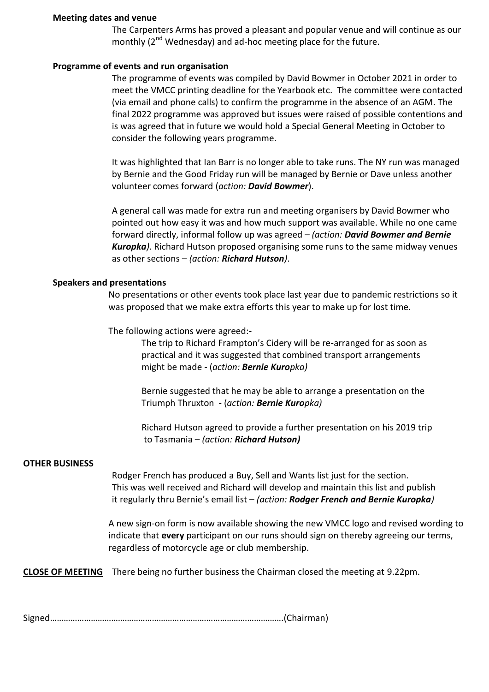#### **Meeting dates and venue**

The Carpenters Arms has proved a pleasant and popular venue and will continue as our monthly (2<sup>nd</sup> Wednesday) and ad-hoc meeting place for the future.

#### **Programme of events and run organisation**

The programme of events was compiled by David Bowmer in October 2021 in order to meet the VMCC printing deadline for the Yearbook etc. The committee were contacted (via email and phone calls) to confirm the programme in the absence of an AGM. The final 2022 programme was approved but issues were raised of possible contentions and is was agreed that in future we would hold a Special General Meeting in October to consider the following years programme.

It was highlighted that Ian Barr is no longer able to take runs. The NY run was managed by Bernie and the Good Friday run will be managed by Bernie or Dave unless another volunteer comes forward (*action: David Bowmer*).

A general call was made for extra run and meeting organisers by David Bowmer who pointed out how easy it was and how much support was available. While no one came forward directly, informal follow up was agreed – *(action: David Bowmer and Bernie Kuropka)*. Richard Hutson proposed organising some runs to the same midway venues as other sections – *(action: Richard Hutson)*.

#### **Speakers and presentations**

No presentations or other events took place last year due to pandemic restrictions so it was proposed that we make extra efforts this year to make up for lost time.

The following actions were agreed:-

The trip to Richard Frampton's Cidery will be re-arranged for as soon as practical and it was suggested that combined transport arrangements might be made - (*action: Bernie Kuropka)*

Bernie suggested that he may be able to arrange a presentation on the Triumph Thruxton - (*action: Bernie Kuropka)*

Richard Hutson agreed to provide a further presentation on his 2019 trip to Tasmania – *(action: Richard Hutson)*

#### **OTHER BUSINESS**

Rodger French has produced a Buy, Sell and Wants list just for the section. This was well received and Richard will develop and maintain this list and publish it regularly thru Bernie's email list – *(action: Rodger French and Bernie Kuropka)*

A new sign-on form is now available showing the new VMCC logo and revised wording to indicate that **every** participant on our runs should sign on thereby agreeing our terms, regardless of motorcycle age or club membership.

**CLOSE OF MEETING** There being no further business the Chairman closed the meeting at 9.22pm.

Signed………………………………………………………………………………………….(Chairman)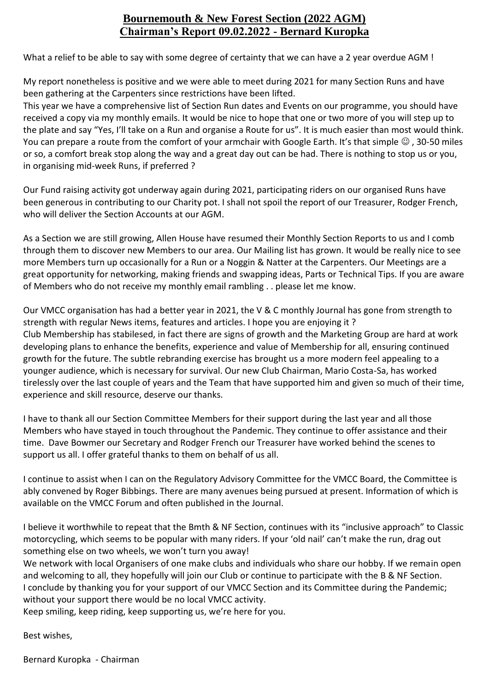### **Bournemouth & New Forest Section (2022 AGM) Chairman's Report 09.02.2022 - Bernard Kuropka**

What a relief to be able to say with some degree of certainty that we can have a 2 year overdue AGM !

My report nonetheless is positive and we were able to meet during 2021 for many Section Runs and have been gathering at the Carpenters since restrictions have been lifted.

This year we have a comprehensive list of Section Run dates and Events on our programme, you should have received a copy via my monthly emails. It would be nice to hope that one or two more of you will step up to the plate and say "Yes, I'll take on a Run and organise a Route for us". It is much easier than most would think. You can prepare a route from the comfort of your armchair with Google Earth. It's that simple  $\odot$ , 30-50 miles or so, a comfort break stop along the way and a great day out can be had. There is nothing to stop us or you, in organising mid-week Runs, if preferred ?

Our Fund raising activity got underway again during 2021, participating riders on our organised Runs have been generous in contributing to our Charity pot. I shall not spoil the report of our Treasurer, Rodger French, who will deliver the Section Accounts at our AGM.

As a Section we are still growing, Allen House have resumed their Monthly Section Reports to us and I comb through them to discover new Members to our area. Our Mailing list has grown. It would be really nice to see more Members turn up occasionally for a Run or a Noggin & Natter at the Carpenters. Our Meetings are a great opportunity for networking, making friends and swapping ideas, Parts or Technical Tips. If you are aware of Members who do not receive my monthly email rambling . . please let me know.

Our VMCC organisation has had a better year in 2021, the V & C monthly Journal has gone from strength to strength with regular News items, features and articles. I hope you are enjoying it ? Club Membership has stabilesed, in fact there are signs of growth and the Marketing Group are hard at work developing plans to enhance the benefits, experience and value of Membership for all, ensuring continued growth for the future. The subtle rebranding exercise has brought us a more modern feel appealing to a younger audience, which is necessary for survival. Our new Club Chairman, Mario Costa-Sa, has worked tirelessly over the last couple of years and the Team that have supported him and given so much of their time, experience and skill resource, deserve our thanks.

I have to thank all our Section Committee Members for their support during the last year and all those Members who have stayed in touch throughout the Pandemic. They continue to offer assistance and their time. Dave Bowmer our Secretary and Rodger French our Treasurer have worked behind the scenes to support us all. I offer grateful thanks to them on behalf of us all.

I continue to assist when I can on the Regulatory Advisory Committee for the VMCC Board, the Committee is ably convened by Roger Bibbings. There are many avenues being pursued at present. Information of which is available on the VMCC Forum and often published in the Journal.

I believe it worthwhile to repeat that the Bmth & NF Section, continues with its "inclusive approach" to Classic motorcycling, which seems to be popular with many riders. If your 'old nail' can't make the run, drag out something else on two wheels, we won't turn you away!

We network with local Organisers of one make clubs and individuals who share our hobby. If we remain open and welcoming to all, they hopefully will join our Club or continue to participate with the B & NF Section. I conclude by thanking you for your support of our VMCC Section and its Committee during the Pandemic; without your support there would be no local VMCC activity.

Keep smiling, keep riding, keep supporting us, we're here for you.

Best wishes,

Bernard Kuropka - Chairman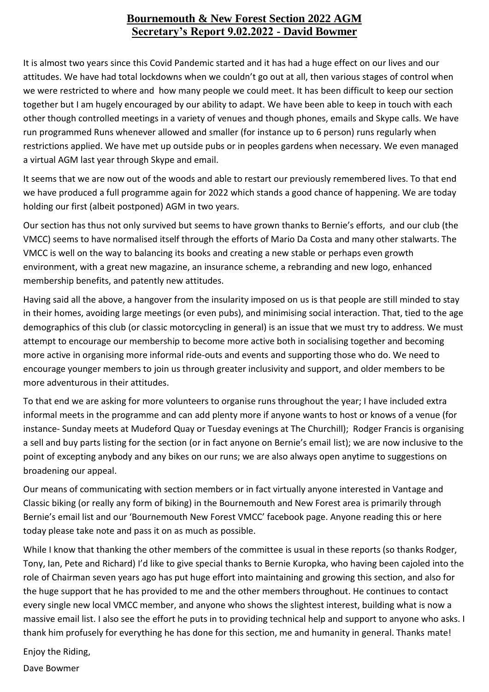### **Bournemouth & New Forest Section 2022 AGM Secretary's Report 9.02.2022 - David Bowmer**

It is almost two years since this Covid Pandemic started and it has had a huge effect on our lives and our attitudes. We have had total lockdowns when we couldn't go out at all, then various stages of control when we were restricted to where and how many people we could meet. It has been difficult to keep our section together but I am hugely encouraged by our ability to adapt. We have been able to keep in touch with each other though controlled meetings in a variety of venues and though phones, emails and Skype calls. We have run programmed Runs whenever allowed and smaller (for instance up to 6 person) runs regularly when restrictions applied. We have met up outside pubs or in peoples gardens when necessary. We even managed a virtual AGM last year through Skype and email.

It seems that we are now out of the woods and able to restart our previously remembered lives. To that end we have produced a full programme again for 2022 which stands a good chance of happening. We are today holding our first (albeit postponed) AGM in two years.

Our section has thus not only survived but seems to have grown thanks to Bernie's efforts, and our club (the VMCC) seems to have normalised itself through the efforts of Mario Da Costa and many other stalwarts. The VMCC is well on the way to balancing its books and creating a new stable or perhaps even growth environment, with a great new magazine, an insurance scheme, a rebranding and new logo, enhanced membership benefits, and patently new attitudes.

Having said all the above, a hangover from the insularity imposed on us is that people are still minded to stay in their homes, avoiding large meetings (or even pubs), and minimising social interaction. That, tied to the age demographics of this club (or classic motorcycling in general) is an issue that we must try to address. We must attempt to encourage our membership to become more active both in socialising together and becoming more active in organising more informal ride-outs and events and supporting those who do. We need to encourage younger members to join us through greater inclusivity and support, and older members to be more adventurous in their attitudes.

To that end we are asking for more volunteers to organise runs throughout the year; I have included extra informal meets in the programme and can add plenty more if anyone wants to host or knows of a venue (for instance- Sunday meets at Mudeford Quay or Tuesday evenings at The Churchill); Rodger Francis is organising a sell and buy parts listing for the section (or in fact anyone on Bernie's email list); we are now inclusive to the point of excepting anybody and any bikes on our runs; we are also always open anytime to suggestions on broadening our appeal.

Our means of communicating with section members or in fact virtually anyone interested in Vantage and Classic biking (or really any form of biking) in the Bournemouth and New Forest area is primarily through Bernie's email list and our 'Bournemouth New Forest VMCC' facebook page. Anyone reading this or here today please take note and pass it on as much as possible.

While I know that thanking the other members of the committee is usual in these reports (so thanks Rodger, Tony, Ian, Pete and Richard) I'd like to give special thanks to Bernie Kuropka, who having been cajoled into the role of Chairman seven years ago has put huge effort into maintaining and growing this section, and also for the huge support that he has provided to me and the other members throughout. He continues to contact every single new local VMCC member, and anyone who shows the slightest interest, building what is now a massive email list. I also see the effort he puts in to providing technical help and support to anyone who asks. I thank him profusely for everything he has done for this section, me and humanity in general. Thanks mate!

Enjoy the Riding,

Dave Bowmer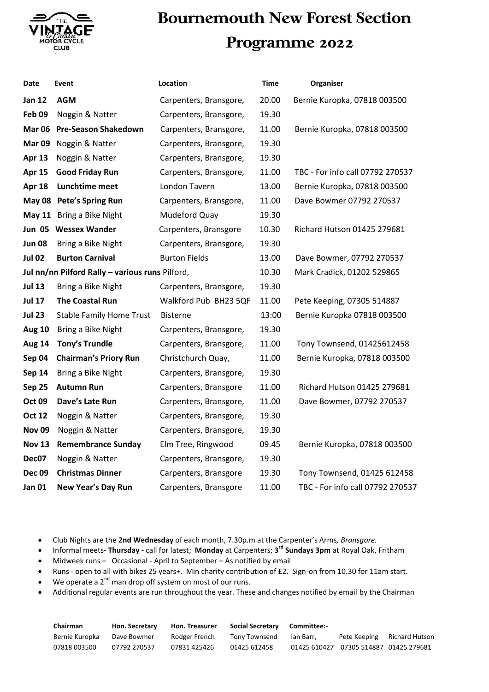

# **Bournemouth New Forest Section Programme 2022**

| Date          | Event                                           | Location               | <b>Time</b> | <b>Organiser</b>                 |
|---------------|-------------------------------------------------|------------------------|-------------|----------------------------------|
| <b>Jan 12</b> | <b>AGM</b>                                      | Carpenters, Bransgore, | 20.00       | Bernie Kuropka, 07818 003500     |
| Feb 09        | Noggin & Natter                                 | Carpenters, Bransgore, | 19.30       |                                  |
| Mar 06        | <b>Pre-Season Shakedown</b>                     | Carpenters, Bransgore, | 11.00       | Bernie Kuropka, 07818 003500     |
| Mar 09        | Noggin & Natter                                 | Carpenters, Bransgore, | 19.30       |                                  |
| Apr 13        | Noggin & Natter                                 | Carpenters, Bransgore, | 19.30       |                                  |
| <b>Apr 15</b> | <b>Good Friday Run</b>                          | Carpenters, Bransgore, | 11.00       | TBC - For info call 07792 270537 |
| Apr 18        | Lunchtime meet                                  | London Tavern          | 13.00       | Bernie Kuropka, 07818 003500     |
|               | May 08 Pete's Spring Run                        | Carpenters, Bransgore, | 11.00       | Dave Bowmer 07792 270537         |
|               | May 11 Bring a Bike Night                       | Mudeford Quay          | 19.30       |                                  |
|               | Jun 05 Wessex Wander                            | Carpenters, Bransgore  | 10.30       | Richard Hutson 01425 279681      |
| <b>Jun 08</b> | Bring a Bike Night                              | Carpenters, Bransgore, | 19.30       |                                  |
| <b>Jul 02</b> | <b>Burton Carnival</b>                          | <b>Burton Fields</b>   | 13.00       | Dave Bowmer, 07792 270537        |
|               | Jul nn/nn Pilford Rally - various runs Pilford, |                        | 10.30       | Mark Cradick, 01202 529865       |
| <b>Jul 13</b> | Bring a Bike Night                              | Carpenters, Bransgore, | 19.30       |                                  |
| <b>Jul 17</b> | <b>The Coastal Run</b>                          | Walkford Pub BH23 5QF  | 11.00       | Pete Keeping, 07305 514887       |
| <b>Jul 23</b> | <b>Stable Family Home Trust</b>                 | <b>Bisterne</b>        | 13:00       | Bernie Kuropka 07818 003500      |
| <b>Aug 10</b> | Bring a Bike Night                              | Carpenters, Bransgore, | 19.30       |                                  |
| <b>Aug 14</b> | <b>Tony's Trundle</b>                           | Carpenters, Bransgore, | 11.00       | Tony Townsend, 01425612458       |
| Sep 04        | <b>Chairman's Priory Run</b>                    | Christchurch Quay,     | 11.00       | Bernie Kuropka, 07818 003500     |
| <b>Sep 14</b> | Bring a Bike Night                              | Carpenters, Bransgore, | 19.30       |                                  |
| Sep 25        | <b>Autumn Run</b>                               | Carpenters, Bransgore  | 11.00       | Richard Hutson 01425 279681      |
| <b>Oct 09</b> | Dave's Late Run                                 | Carpenters, Bransgore, | 11.00       | Dave Bowmer, 07792 270537        |
| <b>Oct 12</b> | Noggin & Natter                                 | Carpenters, Bransgore, | 19.30       |                                  |
| <b>Nov 09</b> | Noggin & Natter                                 | Carpenters, Bransgore, | 19.30       |                                  |
| <b>Nov 13</b> | <b>Remembrance Sunday</b>                       | Elm Tree, Ringwood     | 09.45       | Bernie Kuropka, 07818 003500     |
| Dec07         | Noggin & Natter                                 | Carpenters, Bransgore, | 19.30       |                                  |
| <b>Dec 09</b> | <b>Christmas Dinner</b>                         | Carpenters, Bransgore  | 19.30       | Tony Townsend, 01425 612458      |
| Jan 01        | New Year's Day Run                              | Carpenters, Bransgore  | 11.00       | TBC - For info call 07792 270537 |

Club Nights are the **2nd Wednesday** of each month, 7.30p.m at the Carpenter's Arms*, Bransgore.* 

- Informal meets- **Thursday -** call for latest; **Monday** at Carpenters; **3 rd Sundays 3pm** at Royal Oak, Fritham
- Midweek runs Occasional April to September As notified by email
- Runs open to all with bikes 25 years+. Min charity contribution of £2. Sign-on from 10.30 for 11am start.
- $\bullet$  We operate a 2<sup>nd</sup> man drop off system on most of our runs.
- Additional regular events are run throughout the year. These and changes notified by email by the Chairman

| Chairman       | <b>Hon. Secretary</b> | <b>Hon. Treasurer</b> | <b>Social Secretary</b> | Committee:- |                                          |                |
|----------------|-----------------------|-----------------------|-------------------------|-------------|------------------------------------------|----------------|
| Bernie Kuropka | Dave Bowmer           | Rodger French         | Tony Townsend           | lan Barr.   | Pete Keeping                             | Richard Hutson |
| 07818 003500   | 07792 270537          | 07831 425426          | 01425 612458            |             | 01425 610427  07305 514887  01425 279681 |                |